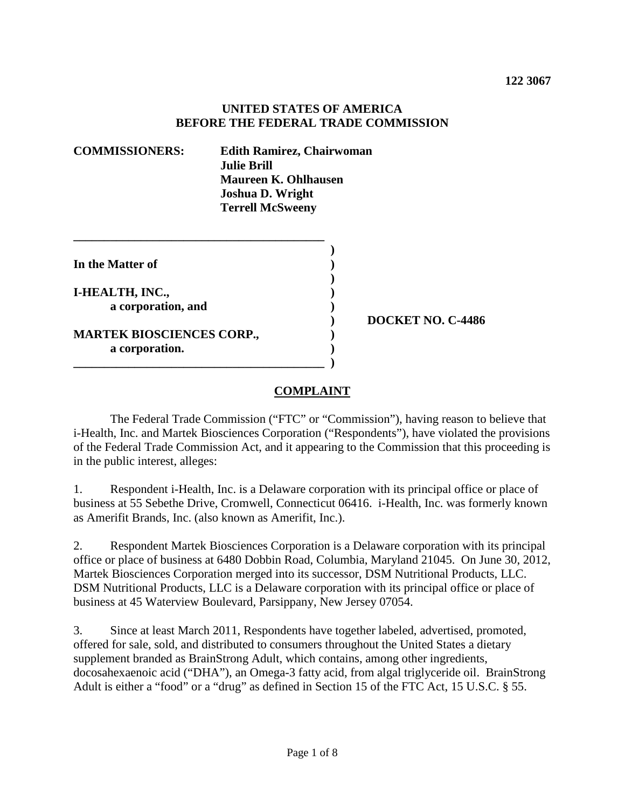#### **UNITED STATES OF AMERICA BEFORE THE FEDERAL TRADE COMMISSION**

| <b>COMMISSIONERS:</b>                              | <b>Edith Ramirez, Chairwoman</b><br><b>Julie Brill</b><br><b>Maureen K. Ohlhausen</b><br><b>Joshua D. Wright</b><br><b>Terrell McSweeny</b> |                  |                   |
|----------------------------------------------------|---------------------------------------------------------------------------------------------------------------------------------------------|------------------|-------------------|
| In the Matter of                                   |                                                                                                                                             |                  |                   |
| I-HEALTH, INC.,                                    |                                                                                                                                             |                  |                   |
| a corporation, and                                 |                                                                                                                                             |                  |                   |
| <b>MARTEK BIOSCIENCES CORP.,</b><br>a corporation. |                                                                                                                                             |                  | DOCKET NO. C-4486 |
|                                                    |                                                                                                                                             | <b>COMPLAINT</b> |                   |

The Federal Trade Commission ("FTC" or "Commission"), having reason to believe that i-Health, Inc. and Martek Biosciences Corporation ("Respondents"), have violated the provisions of the Federal Trade Commission Act, and it appearing to the Commission that this proceeding is in the public interest, alleges:

1. Respondent i-Health, Inc. is a Delaware corporation with its principal office or place of business at 55 Sebethe Drive, Cromwell, Connecticut 06416. i-Health, Inc. was formerly known as Amerifit Brands, Inc. (also known as Amerifit, Inc.).

2. Respondent Martek Biosciences Corporation is a Delaware corporation with its principal office or place of business at 6480 Dobbin Road, Columbia, Maryland 21045. On June 30, 2012, Martek Biosciences Corporation merged into its successor, DSM Nutritional Products, LLC. DSM Nutritional Products, LLC is a Delaware corporation with its principal office or place of business at 45 Waterview Boulevard, Parsippany, New Jersey 07054.

3. Since at least March 2011, Respondents have together labeled, advertised, promoted, offered for sale, sold, and distributed to consumers throughout the United States a dietary supplement branded as BrainStrong Adult, which contains, among other ingredients, docosahexaenoic acid ("DHA"), an Omega-3 fatty acid, from algal triglyceride oil. BrainStrong Adult is either a "food" or a "drug" as defined in Section 15 of the FTC Act, 15 U.S.C. § 55.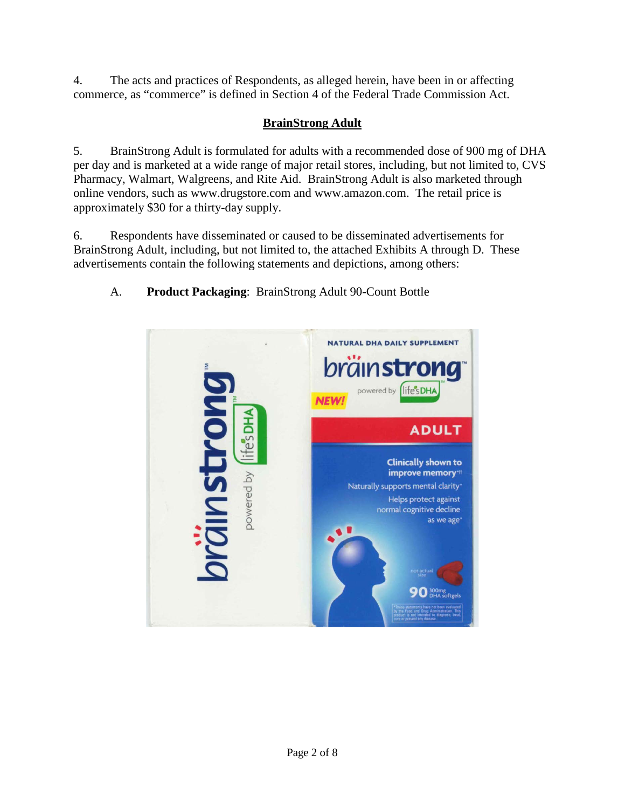4. The acts and practices of Respondents, as alleged herein, have been in or affecting commerce, as "commerce" is defined in Section 4 of the Federal Trade Commission Act.

# **BrainStrong Adult**

5. BrainStrong Adult is formulated for adults with a recommended dose of 900 mg of DHA per day and is marketed at a wide range of major retail stores, including, but not limited to, CVS Pharmacy, Walmart, Walgreens, and Rite Aid. BrainStrong Adult is also marketed through online vendors, such as www.drugstore.com and www.amazon.com. The retail price is approximately \$30 for a thirty-day supply.

6. Respondents have disseminated or caused to be disseminated advertisements for BrainStrong Adult, including, but not limited to, the attached Exhibits A through D. These advertisements contain the following statements and depictions, among others:

# A. **Product Packaging**: BrainStrong Adult 90-Count Bottle

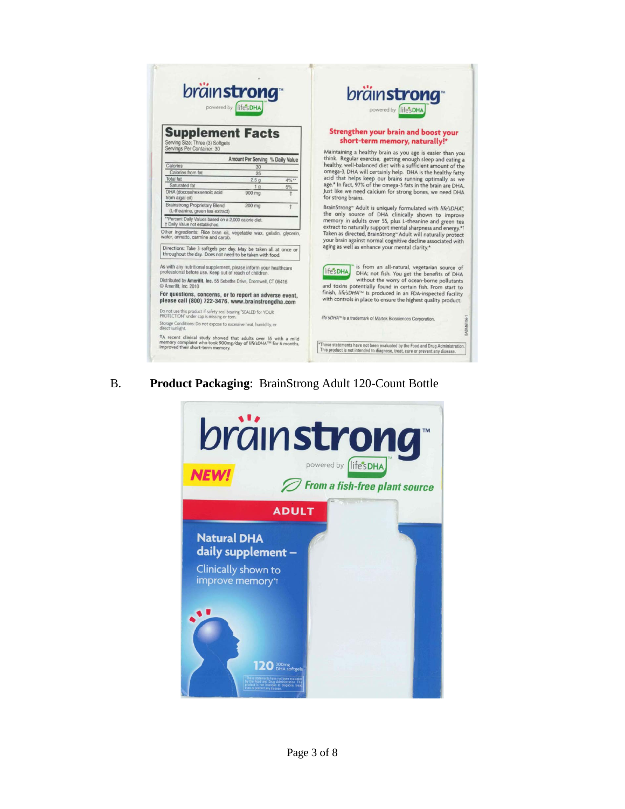

B. **Product Packaging**: BrainStrong Adult 120-Count Bottle

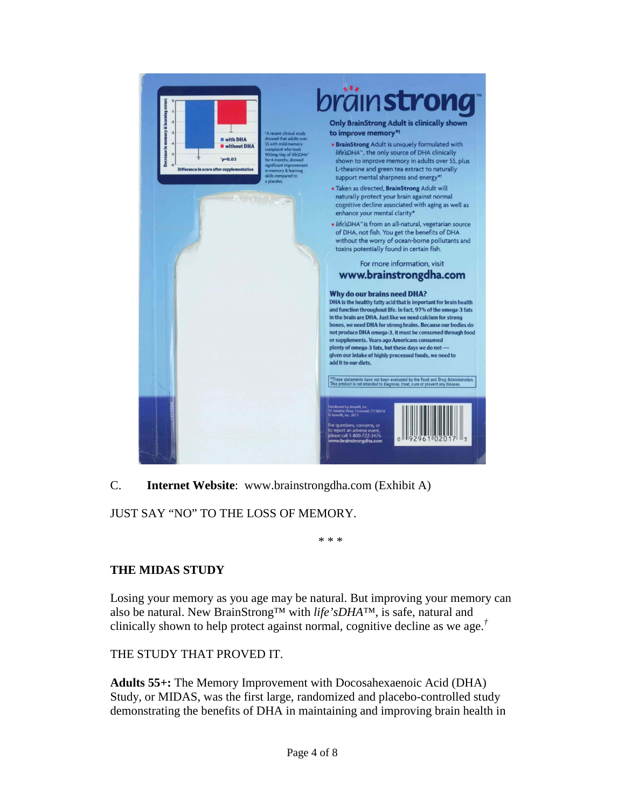

C. **Internet Website**: www.brainstrongdha.com (Exhibit A)

JUST SAY "NO" TO THE LOSS OF MEMORY.

\* \* \*

### **THE MIDAS STUDY**

Losing your memory as you age may be natural. But improving your memory can also be natural. New BrainStrong™ with *life'sDHA*™, is safe, natural and clinically shown to help protect against normal, cognitive decline as we age.*†*

THE STUDY THAT PROVED IT.

**Adults 55+:** The Memory Improvement with Docosahexaenoic Acid (DHA) Study, or MIDAS, was the first large, randomized and placebo-controlled study demonstrating the benefits of DHA in maintaining and improving brain health in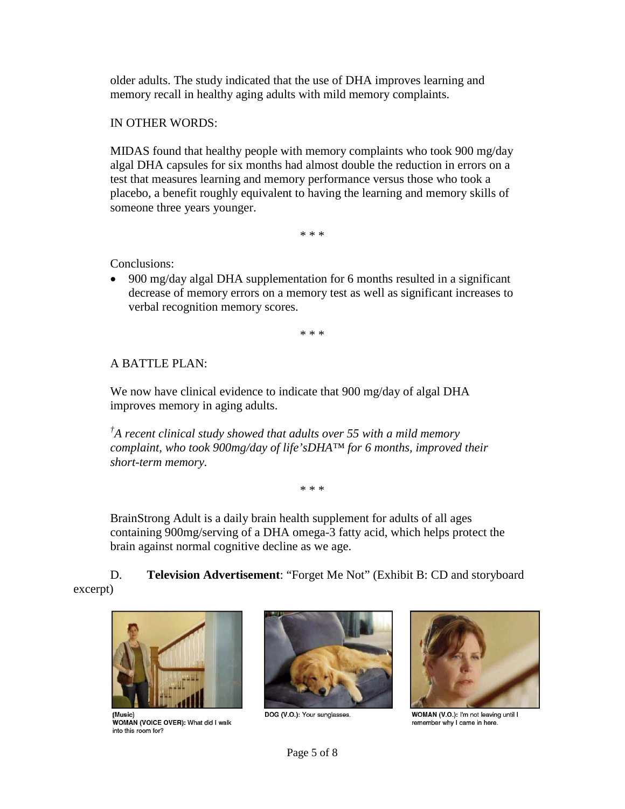older adults. The study indicated that the use of DHA improves learning and memory recall in healthy aging adults with mild memory complaints.

IN OTHER WORDS:

MIDAS found that healthy people with memory complaints who took 900 mg/day algal DHA capsules for six months had almost double the reduction in errors on a test that measures learning and memory performance versus those who took a placebo, a benefit roughly equivalent to having the learning and memory skills of someone three years younger.

\* \* \*

Conclusions:

• 900 mg/day algal DHA supplementation for 6 months resulted in a significant decrease of memory errors on a memory test as well as significant increases to verbal recognition memory scores.

\* \* \*

### A BATTLE PLAN:

We now have clinical evidence to indicate that 900 mg/day of algal DHA improves memory in aging adults.

*† A recent clinical study showed that adults over 55 with a mild memory complaint, who took 900mg/day of life'sDHA™ for 6 months, improved their short-term memory.*

\* \* \*

BrainStrong Adult is a daily brain health supplement for adults of all ages containing 900mg/serving of a DHA omega-3 fatty acid, which helps protect the brain against normal cognitive decline as we age.

D. **Television Advertisement**: "Forget Me Not" (Exhibit B: CD and storyboard excerpt)





(Music) WOMAN (VOICE OVER): What did I walk into this room for?



DOG (V.O.): Your sunglasses.



WOMAN (V.O.): I'm not leaving until I remember why I came in here.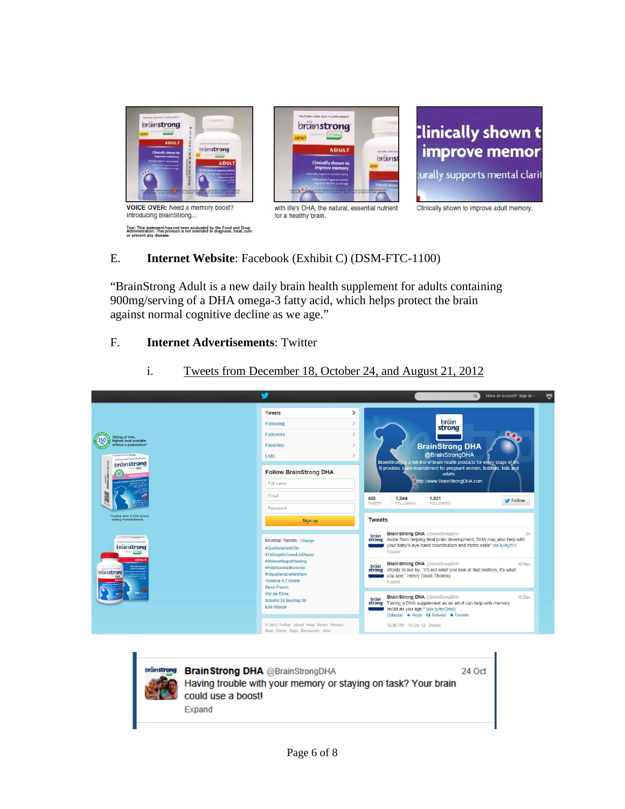

## E. **Internet Website**: Facebook (Exhibit C) (DSM-FTC-1100)

"BrainStrong Adult is a new daily brain health supplement for adults containing 900mg/serving of a DHA omega-3 fatty acid, which helps protect the brain against normal cognitive decline as we age."

### F. **Internet Advertisements**: Twitter



i. Tweets from December 18, October 24, and August 21, 2012

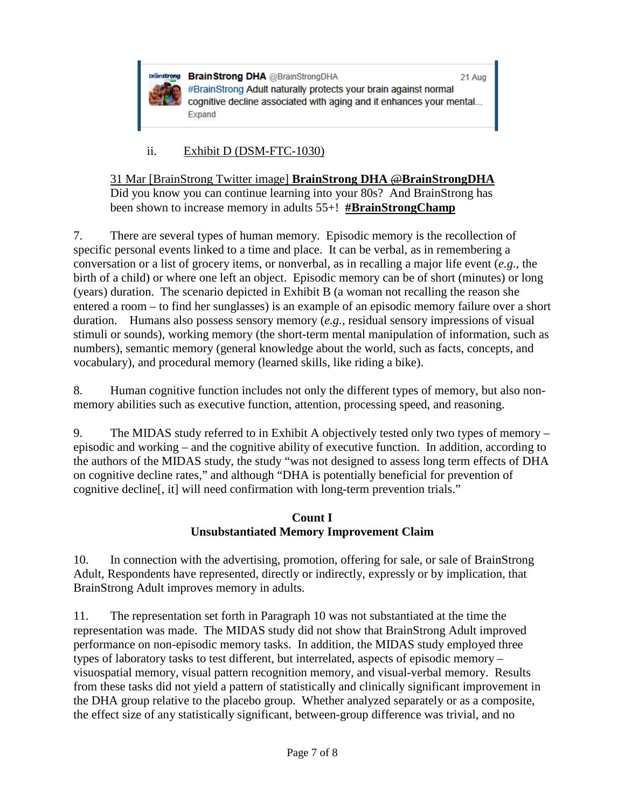

bränstrong Brain Strong DHA @BrainStrongDHA 21 Aug #BrainStrong Adult naturally protects your brain against normal cognitive decline associated with aging and it enhances your mental... **Expand** 

### ii. Exhibit D (DSM-FTC-1030)

### 31 Mar [BrainStrong Twitter image] **[BrainStrong DHA](https://twitter.com/BrainStrongDHA)** @**BrainStrongDHA**

Did you know you can continue learning into your 80s? And BrainStrong has been shown to increase memory in adults 55+! **#BrainStrongChamp**

7. There are several types of human memory. Episodic memory is the recollection of specific personal events linked to a time and place. It can be verbal, as in remembering a conversation or a list of grocery items, or nonverbal, as in recalling a major life event (*e.g.*, the birth of a child) or where one left an object. Episodic memory can be of short (minutes) or long (years) duration. The scenario depicted in Exhibit B (a woman not recalling the reason she entered a room – to find her sunglasses) is an example of an episodic memory failure over a short duration. Humans also possess sensory memory (*e.g.*, residual sensory impressions of visual stimuli or sounds), working memory (the short-term mental manipulation of information, such as numbers), semantic memory (general knowledge about the world, such as facts, concepts, and vocabulary), and procedural memory (learned skills, like riding a bike).

8. Human cognitive function includes not only the different types of memory, but also nonmemory abilities such as executive function, attention, processing speed, and reasoning.

9. The MIDAS study referred to in Exhibit A objectively tested only two types of memory – episodic and working – and the cognitive ability of executive function. In addition, according to the authors of the MIDAS study, the study "was not designed to assess long term effects of DHA on cognitive decline rates," and although "DHA is potentially beneficial for prevention of cognitive decline[, it] will need confirmation with long-term prevention trials."

#### **Count I Unsubstantiated Memory Improvement Claim**

10. In connection with the advertising, promotion, offering for sale, or sale of BrainStrong Adult, Respondents have represented, directly or indirectly, expressly or by implication, that BrainStrong Adult improves memory in adults.

11. The representation set forth in Paragraph 10 was not substantiated at the time the representation was made. The MIDAS study did not show that BrainStrong Adult improved performance on non-episodic memory tasks. In addition, the MIDAS study employed three types of laboratory tasks to test different, but interrelated, aspects of episodic memory – visuospatial memory, visual pattern recognition memory, and visual-verbal memory. Results from these tasks did not yield a pattern of statistically and clinically significant improvement in the DHA group relative to the placebo group. Whether analyzed separately or as a composite, the effect size of any statistically significant, between-group difference was trivial, and no